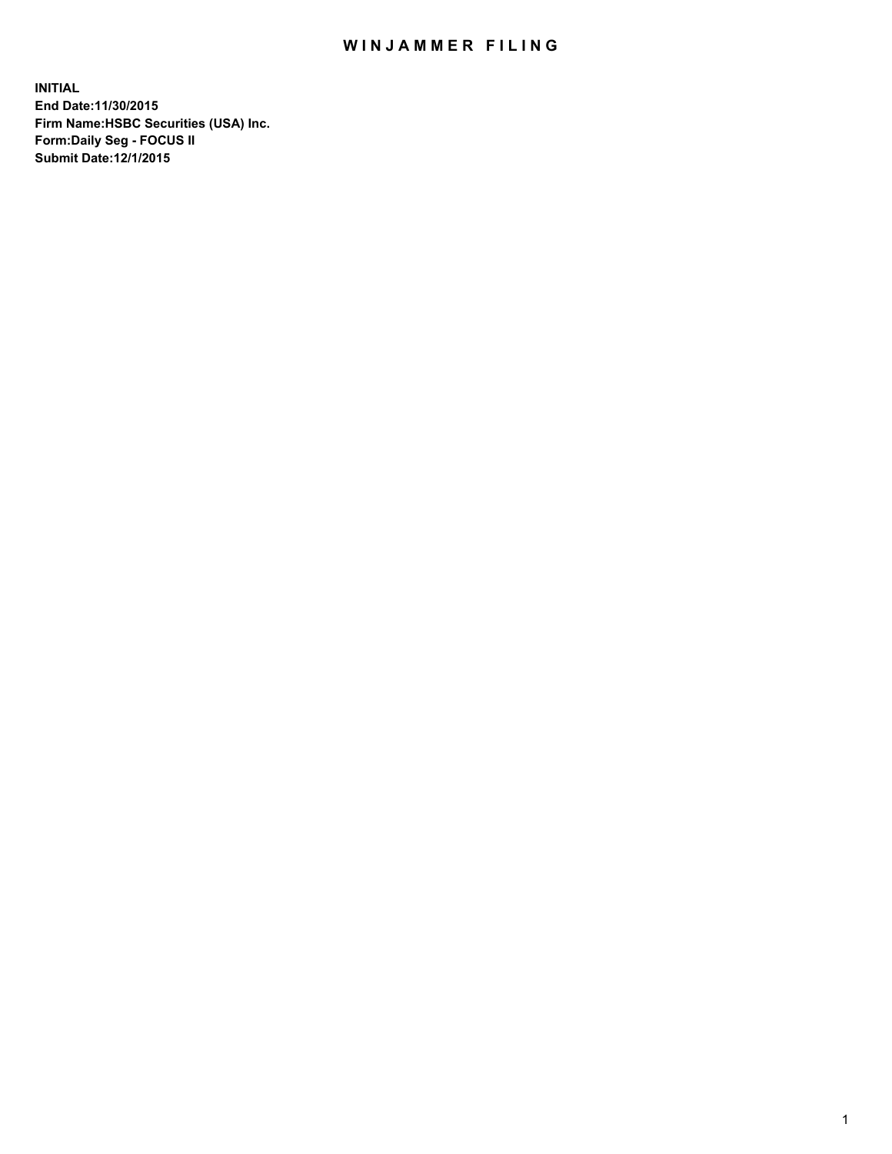## WIN JAMMER FILING

**INITIAL End Date:11/30/2015 Firm Name:HSBC Securities (USA) Inc. Form:Daily Seg - FOCUS II Submit Date:12/1/2015**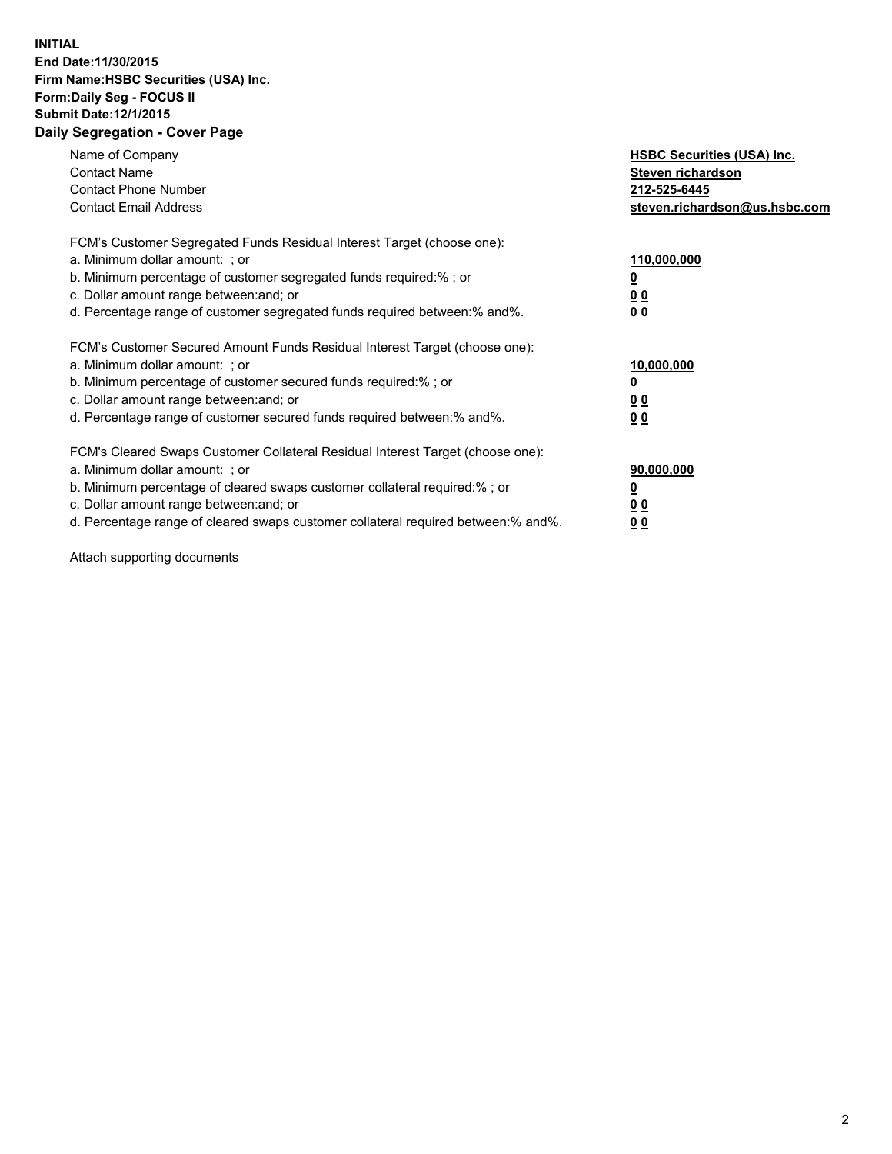## **INITIAL End Date:11/30/2015 Firm Name:HSBC Securities (USA) Inc. Form:Daily Seg - FOCUS II Submit Date:12/1/2015 Daily Segregation - Cover Page**

| Name of Company<br><b>Contact Name</b><br><b>Contact Phone Number</b><br><b>Contact Email Address</b>                                                                                                                                                                                                                         | <b>HSBC Securities (USA) Inc.</b><br>Steven richardson<br>212-525-6445<br>steven.richardson@us.hsbc.com |
|-------------------------------------------------------------------------------------------------------------------------------------------------------------------------------------------------------------------------------------------------------------------------------------------------------------------------------|---------------------------------------------------------------------------------------------------------|
| FCM's Customer Segregated Funds Residual Interest Target (choose one):<br>a. Minimum dollar amount: ; or<br>b. Minimum percentage of customer segregated funds required: % ; or<br>c. Dollar amount range between: and; or<br>d. Percentage range of customer segregated funds required between:% and%.                       | 110,000,000<br><u>0</u><br>0 <sub>0</sub><br>0 <sub>0</sub>                                             |
| FCM's Customer Secured Amount Funds Residual Interest Target (choose one):<br>a. Minimum dollar amount: ; or<br>b. Minimum percentage of customer secured funds required:%; or<br>c. Dollar amount range between: and; or<br>d. Percentage range of customer secured funds required between:% and%.                           | 10,000,000<br><u>0</u><br>0 <sub>0</sub><br>0 <sub>0</sub>                                              |
| FCM's Cleared Swaps Customer Collateral Residual Interest Target (choose one):<br>a. Minimum dollar amount: ; or<br>b. Minimum percentage of cleared swaps customer collateral required:%; or<br>c. Dollar amount range between: and; or<br>d. Percentage range of cleared swaps customer collateral required between:% and%. | 90,000,000<br><u>0</u><br>0 <sub>0</sub><br>0 <sub>0</sub>                                              |

Attach supporting documents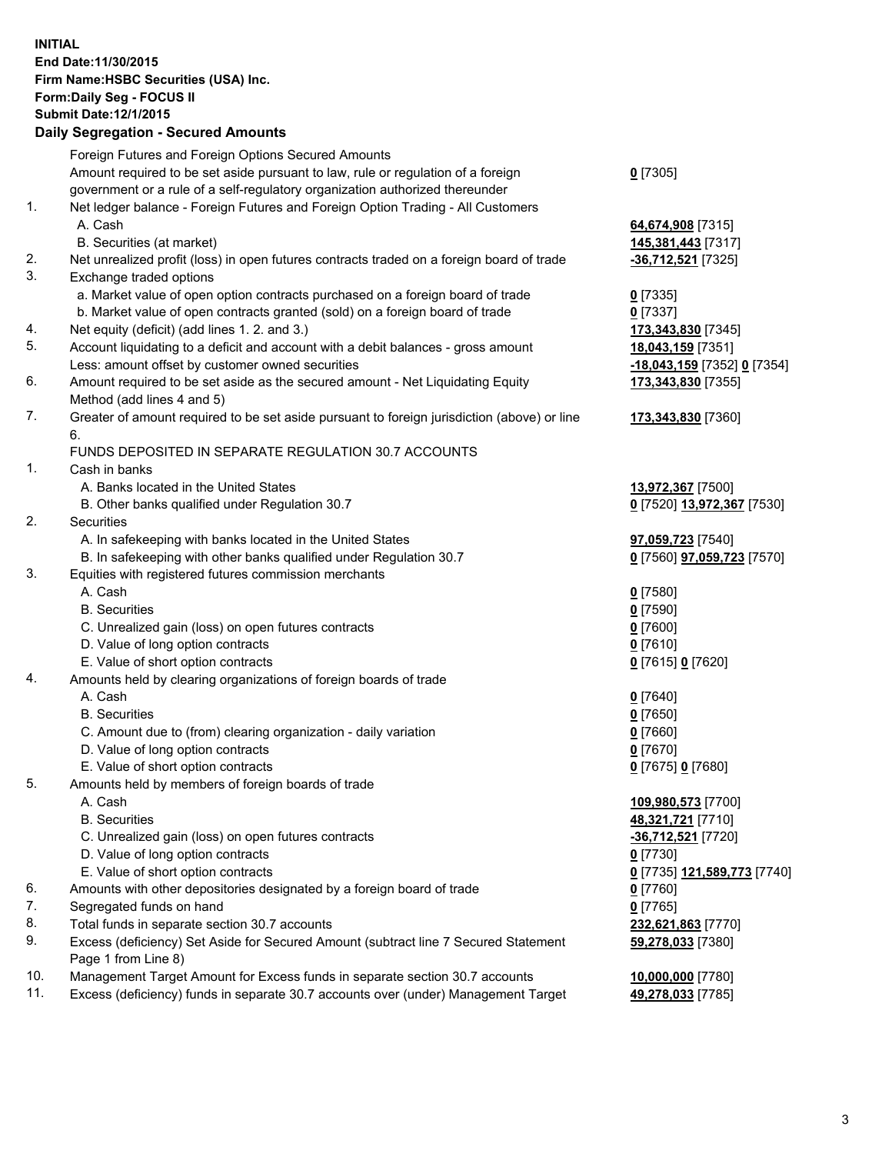**INITIAL End Date:11/30/2015 Firm Name:HSBC Securities (USA) Inc. Form:Daily Seg - FOCUS II Submit Date:12/1/2015 Daily Segregation - Secured Amounts**

## Foreign Futures and Foreign Options Secured Amounts Amount required to be set aside pursuant to law, rule or regulation of a foreign government or a rule of a self-regulatory organization authorized thereunder

|         |  | Net ledger balance - Foreign Futures and Foreign Option Trading - All Customers |       |
|---------|--|---------------------------------------------------------------------------------|-------|
| A. Cash |  |                                                                                 | 64,67 |

- B. Securities (at market) **145,381,443** [7317]
- 2. Net unrealized profit (loss) in open futures contracts traded on a foreign board of trade **-36,712,521** [7325]
- 3. Exchange traded options
	- a. Market value of open option contracts purchased on a foreign board of trade **0** [7335]
	- b. Market value of open contracts granted (sold) on a foreign board of trade **0** [7337]
- 4. Net equity (deficit) (add lines 1. 2. and 3.) **173,343,830** [7345]
- 5. Account liquidating to a deficit and account with a debit balances gross amount **18,043,159** [7351] Less: amount offset by customer owned securities **-18,043,159** [7352] **0** [7354]
- 6. Amount required to be set aside as the secured amount Net Liquidating Equity Method (add lines 4 and 5)
- 7. Greater of amount required to be set aside pursuant to foreign jurisdiction (above) or line 6.

## FUNDS DEPOSITED IN SEPARATE REGULATION 30.7 ACCOUNTS

- 1. Cash in banks
	- A. Banks located in the United States **13,972,367** [7500]
	- B. Other banks qualified under Regulation 30.7 **0** [7520] **13,972,367** [7530]
- 2. Securities
	- A. In safekeeping with banks located in the United States **97,059,723** [7540]
	- B. In safekeeping with other banks qualified under Regulation 30.7 **0** [7560] **97,059,723** [7570]
- 3. Equities with registered futures commission merchants
	-
	-
	- C. Unrealized gain (loss) on open futures contracts **0** [7600]
	- D. Value of long option contracts **0** [7610]
	- E. Value of short option contracts **0** [7615] **0** [7620]
- 4. Amounts held by clearing organizations of foreign boards of trade
	-
	-
	- C. Amount due to (from) clearing organization daily variation **0** [7660]
	- D. Value of long option contracts **0** [7670]
	- E. Value of short option contracts **0** [7675] **0** [7680]
- 5. Amounts held by members of foreign boards of trade
	-
	-
	- C. Unrealized gain (loss) on open futures contracts **-36,712,521** [7720]
	- D. Value of long option contracts **0** [7730]
	- E. Value of short option contracts **0** [7735] **121,589,773** [7740]
- 6. Amounts with other depositories designated by a foreign board of trade **0** [7760]
- 7. Segregated funds on hand **0** [7765]
- 8. Total funds in separate section 30.7 accounts **232,621,863** [7770]
- 9. Excess (deficiency) Set Aside for Secured Amount (subtract line 7 Secured Statement Page 1 from Line 8)
- 10. Management Target Amount for Excess funds in separate section 30.7 accounts **10,000,000** [7780]
- 11. Excess (deficiency) funds in separate 30.7 accounts over (under) Management Target **49,278,033** [7785]
- **0** [7305]
- 64,674,908<sup>[7315]</sup>
- **173,343,830** [7355]
- **173,343,830** [7360]
- 
- 
- A. Cash **0** [7580] B. Securities **0** [7590]
- A. Cash **0** [7640] B. Securities **0** [7650]
	-
- A. Cash **109,980,573** [7700] B. Securities **48,321,721** [7710] **59,278,033** [7380]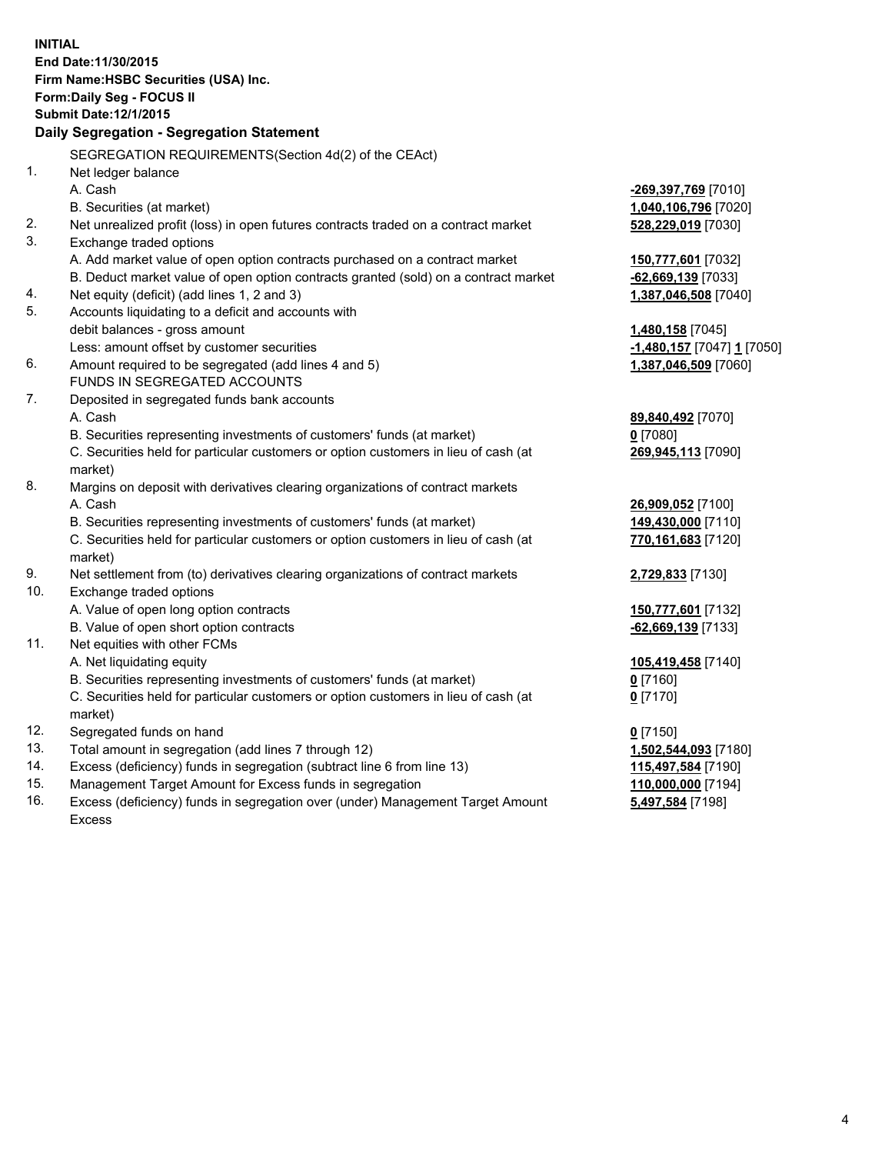| <b>INITIAL</b> | End Date:11/30/2015<br>Firm Name: HSBC Securities (USA) Inc.<br><b>Form:Daily Seg - FOCUS II</b><br><b>Submit Date: 12/1/2015</b><br>Daily Segregation - Segregation Statement |                            |
|----------------|--------------------------------------------------------------------------------------------------------------------------------------------------------------------------------|----------------------------|
|                | SEGREGATION REQUIREMENTS(Section 4d(2) of the CEAct)                                                                                                                           |                            |
| 1.             | Net ledger balance                                                                                                                                                             |                            |
|                | A. Cash                                                                                                                                                                        | -269,397,769 [7010]        |
|                | B. Securities (at market)                                                                                                                                                      | 1,040,106,796 [7020]       |
| 2.             | Net unrealized profit (loss) in open futures contracts traded on a contract market                                                                                             | 528,229,019 [7030]         |
| 3.             | Exchange traded options                                                                                                                                                        |                            |
|                | A. Add market value of open option contracts purchased on a contract market                                                                                                    | 150,777,601 [7032]         |
|                | B. Deduct market value of open option contracts granted (sold) on a contract market                                                                                            | $-62,669,139$ [7033]       |
| 4.             | Net equity (deficit) (add lines 1, 2 and 3)                                                                                                                                    | 1,387,046,508 [7040]       |
| 5.             | Accounts liquidating to a deficit and accounts with                                                                                                                            |                            |
|                | debit balances - gross amount                                                                                                                                                  | 1,480,158 [7045]           |
|                | Less: amount offset by customer securities                                                                                                                                     | -1,480,157 [7047] 1 [7050] |
| 6.             | Amount required to be segregated (add lines 4 and 5)                                                                                                                           | 1,387,046,509 [7060]       |
|                | FUNDS IN SEGREGATED ACCOUNTS                                                                                                                                                   |                            |
| 7.             | Deposited in segregated funds bank accounts                                                                                                                                    |                            |
|                | A. Cash                                                                                                                                                                        | 89,840,492 [7070]          |
|                | B. Securities representing investments of customers' funds (at market)                                                                                                         | $0$ [7080]                 |
|                | C. Securities held for particular customers or option customers in lieu of cash (at<br>market)                                                                                 | 269,945,113 [7090]         |
| 8.             | Margins on deposit with derivatives clearing organizations of contract markets                                                                                                 |                            |
|                | A. Cash                                                                                                                                                                        | 26,909,052 [7100]          |
|                | B. Securities representing investments of customers' funds (at market)                                                                                                         | 149,430,000 [7110]         |
|                | C. Securities held for particular customers or option customers in lieu of cash (at<br>market)                                                                                 | 770,161,683 [7120]         |
| 9.             | Net settlement from (to) derivatives clearing organizations of contract markets                                                                                                | 2,729,833 [7130]           |
| 10.            | Exchange traded options                                                                                                                                                        |                            |
|                | A. Value of open long option contracts                                                                                                                                         | 150,777,601 [7132]         |
|                | B. Value of open short option contracts                                                                                                                                        | -62,669,139 [7133]         |
| 11.            | Net equities with other FCMs                                                                                                                                                   |                            |
|                | A. Net liquidating equity                                                                                                                                                      | 105,419,458 [7140]         |
|                | B. Securities representing investments of customers' funds (at market)                                                                                                         | $0$ [7160]                 |
|                | C. Securities held for particular customers or option customers in lieu of cash (at                                                                                            | $0$ [7170]                 |
|                | market)                                                                                                                                                                        |                            |
| 12.            | Segregated funds on hand                                                                                                                                                       | $0$ [7150]                 |
| 13.            | Total amount in segregation (add lines 7 through 12)                                                                                                                           | 1,502,544,093 [7180]       |
| 14.            | Excess (deficiency) funds in segregation (subtract line 6 from line 13)                                                                                                        | 115,497,584 [7190]         |
| 15.            | Management Target Amount for Excess funds in segregation                                                                                                                       | 110,000,000 [7194]         |

16. Excess (deficiency) funds in segregation over (under) Management Target Amount Excess

**5,497,584** [7198]